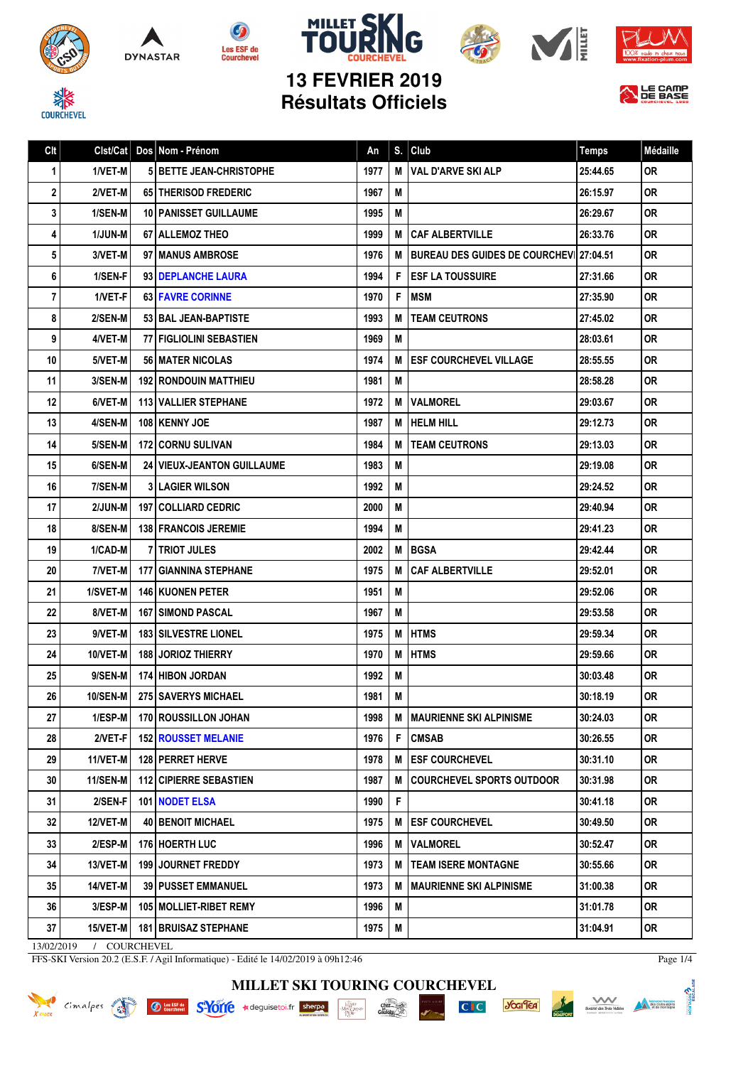







JE



## **13 FEVRIER 2019 Résultats Officiels**



| Clt          | Clst/Cat       | Dos Nom - Prénom                  | An   | S. | Club                                     | <b>Temps</b> | Médaille  |
|--------------|----------------|-----------------------------------|------|----|------------------------------------------|--------------|-----------|
| 1            | 1/VET-M        | <b>5 BETTE JEAN-CHRISTOPHE</b>    | 1977 | M  | <b>VAL D'ARVE SKI ALP</b>                | 25:44.65     | <b>OR</b> |
| 2            | 2/VET-M        | <b>65 THERISOD FREDERIC</b>       | 1967 | M  |                                          | 26:15.97     | 0R        |
| 3            | 1/SEN-M        | <b>10   PANISSET GUILLAUME</b>    | 1995 | M  |                                          | 26:29.67     | <b>OR</b> |
| 4            | <b>1/JUN-M</b> | 67 ALLEMOZ THEO                   | 1999 | М  | <b>CAF ALBERTVILLE</b>                   | 26:33.76     | <b>OR</b> |
| 5            | 3/VET-M        | 97 MANUS AMBROSE                  | 1976 | M  | BUREAU DES GUIDES DE COURCHEV   27:04.51 |              | <b>OR</b> |
| 6            | 1/SEN-F        | 93 DEPLANCHE LAURA                | 1994 | F  | <b>ESF LA TOUSSUIRE</b>                  | 27:31.66     | 0R        |
| 7            | $1/VET-F$      | <b>63 FAVRE CORINNE</b>           | 1970 | F  | <b>MSM</b>                               | 27:35.90     | <b>OR</b> |
| 8            | 2/SEN-M        | 53 BAL JEAN-BAPTISTE              | 1993 | M  | <b>TEAM CEUTRONS</b>                     | 27:45.02     | 0R        |
| 9            | 4/VET-M        | <b>77 FIGLIOLINI SEBASTIEN</b>    | 1969 | M  |                                          | 28:03.61     | <b>OR</b> |
| 10           | 5/VET-M        | <b>56 I MATER NICOLAS</b>         | 1974 | М  | <b>ESF COURCHEVEL VILLAGE</b>            | 28:55.55     | 0R        |
| 11           | 3/SEN-M        | <b>192 RONDOUIN MATTHIEU</b>      | 1981 | M  |                                          | 28:58.28     | <b>OR</b> |
| 12           | 6/VET-M        | <b>113   VALLIER STEPHANE</b>     | 1972 | M  | <b>VALMOREL</b>                          | 29:03.67     | 0R        |
| 13           | 4/SEN-M        | 108 KENNY JOE                     | 1987 | M  | <b>HELM HILL</b>                         | 29:12.73     | <b>OR</b> |
| 14           | 5/SEN-M        | <b>172 CORNU SULIVAN</b>          | 1984 | M  | <b>TEAM CEUTRONS</b>                     | 29:13.03     | 0R        |
| 15           | 6/SEN-M        | <b>24 VIEUX-JEANTON GUILLAUME</b> | 1983 | М  |                                          | 29:19.08     | <b>OR</b> |
| 16           | 7/SEN-M        | <b>3 I LAGIER WILSON</b>          | 1992 | M  |                                          | 29:24.52     | 0R        |
| 17           | $2/JUN-M$      | <b>197 COLLIARD CEDRIC</b>        | 2000 | M  |                                          | 29:40.94     | <b>OR</b> |
| 18           | 8/SEN-M        | <b>138 FRANCOIS JEREMIE</b>       | 1994 | M  |                                          | 29:41.23     | <b>OR</b> |
| 19           | 1/CAD-M        | <b>TRIOT JULES</b>                | 2002 | М  | <b>BGSA</b>                              | 29:42.44     | 0R        |
| 20           | 7/VET-M        | <b>177 GIANNINA STEPHANE</b>      | 1975 | M  | <b>CAF ALBERTVILLE</b>                   | 29:52.01     | <b>OR</b> |
| 21           | 1/SVET-M       | <b>146 KUONEN PETER</b>           | 1951 | M  |                                          | 29:52.06     | 0R        |
| 22           | 8/VET-M        | <b>167 SIMOND PASCAL</b>          | 1967 | M  |                                          | 29:53.58     | <b>OR</b> |
| 23           | 9/VET-M        | <b>183   SILVESTRE LIONEL</b>     | 1975 | M  | <b>HTMS</b>                              | 29:59.34     | 0R        |
| 24           | 10/VET-M       | <b>188 JORIOZ THIERRY</b>         | 1970 | M  | <b>HTMS</b>                              | 29:59.66     | <b>OR</b> |
| 25           | 9/SEN-M        | <b>174 HIBON JORDAN</b>           | 1992 | M  |                                          | 30:03.48     | 0R        |
| 26           | 10/SEN-M       | 275 SAVERYS MICHAEL               | 1981 | M  |                                          | 30:18.19     | <b>OR</b> |
| 27           | $1/ESP-M$      | 170 ROUSSILLON JOHAN              | 1998 | M  | MAURIENNE SKI ALPINISME                  | 30:24.03     | 0R        |
| 28           | 2/VET-F        | <b>152 ROUSSET MELANIE</b>        | 1976 | F  | <b>CMSAB</b>                             | 30:26.55     | 0R        |
| 29           | 11/VET-M       | <b>128 PERRET HERVE</b>           | 1978 | М  | <b>ESF COURCHEVEL</b>                    | 30:31.10     | 0R        |
| 30           | 11/SEN-M       | 112 CIPIERRE SEBASTIEN            | 1987 | М  | <b>COURCHEVEL SPORTS OUTDOOR</b>         | 30:31.98     | 0R        |
| 31           | 2/SEN-F        | 101 NODET ELSA                    | 1990 | F  |                                          | 30:41.18     | 0R        |
| 32           | 12/VET-M       | <b>40 BENOIT MICHAEL</b>          | 1975 | M  | <b>ESF COURCHEVEL</b>                    | 30:49.50     | 0R        |
| 33           | 2/ESP-M        | 176 HOERTH LUC                    | 1996 | M  | <b>VALMOREL</b>                          | 30:52.47     | 0R        |
| 34           | 13/VET-M       | 199 JOURNET FREDDY                | 1973 | M  | <b>TEAM ISERE MONTAGNE</b>               | 30:55.66     | 0R        |
| 35           | 14/VET-M       | <b>39 PUSSET EMMANUEL</b>         | 1973 | M  | <b>MAURIENNE SKI ALPINISME</b>           | 31:00.38     | 0R        |
| 36           | 3/ESP-M        | 105 MOLLIET-RIBET REMY            | 1996 | Μ  |                                          | 31:01.78     | 0R        |
| 37<br>120000 | 15/VET-M       | <b>181 BRUISAZ STEPHANE</b>       | 1975 | M  |                                          | 31:04.91     | <b>OR</b> |

13/02/2019 / COURCHEVEL

FFS-SKI Version 20.2 (E.S.F. / Agil Informatique) - Edité le 14/02/2019 à 09h12:46

Page 1/4

Société des Trois Vallées<br>Société des Trois Vallées<br>et de montagne

*<u>Jocifica*</u>

 $C<sub>1</sub>C$ 

DNTMONE<sup>2</sup>

**MILLET SKI TOURING COURCHEVEL** Emalpes and Omnibus Store \*deguisetoi.fr sherpe

chez...

 $\begin{array}{c}\stackrel{\text{Lap}}{\underset{\text{Lap}}{\text{Lap}}} \longrightarrow \text{Lap} \end{array}$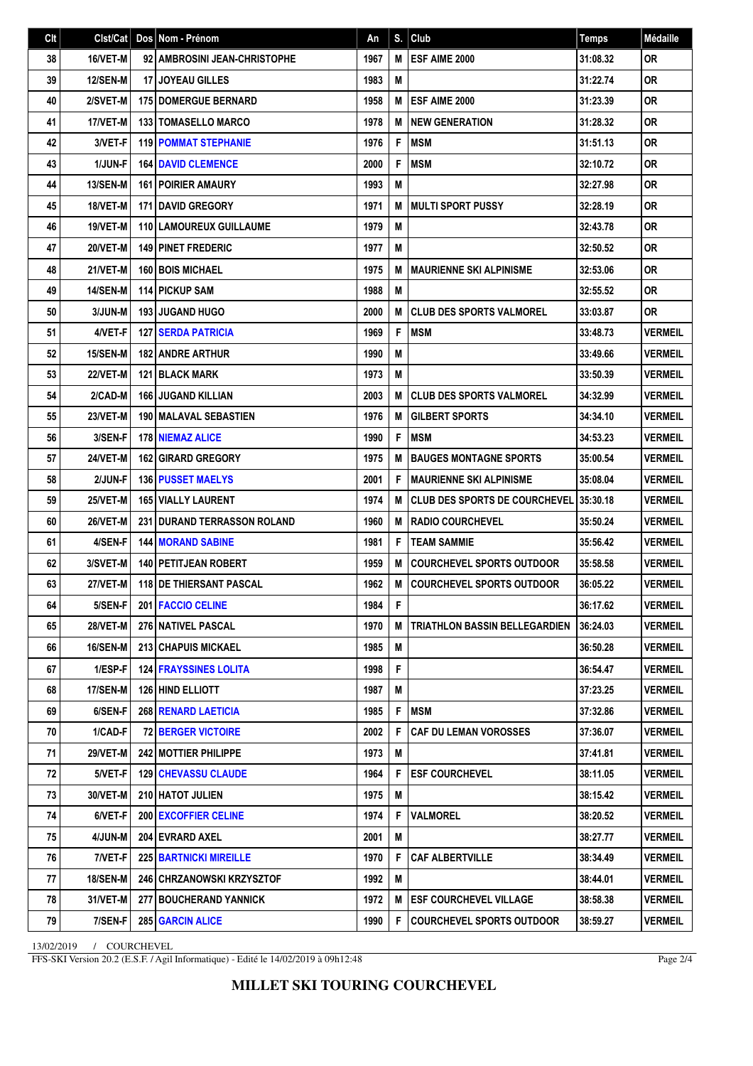| Clt | Clst/Cat        | Dos Nom - Prénom                   | Αn   | S. | Club                                 | <b>Temps</b> | Médaille       |
|-----|-----------------|------------------------------------|------|----|--------------------------------------|--------------|----------------|
| 38  | 16/VET-M        | 92 AMBROSINI JEAN-CHRISTOPHE       | 1967 | M  | ESF AIME 2000                        | 31:08.32     | <b>OR</b>      |
| 39  | <b>12/SEN-M</b> | <b>17 JOYEAU GILLES</b>            | 1983 | M  |                                      | 31:22.74     | <b>OR</b>      |
| 40  | 2/SVET-M        | <b>175 I DOMERGUE BERNARD</b>      | 1958 | M  | ESF AIME 2000                        | 31:23.39     | <b>OR</b>      |
| 41  | 17/VET-M        | <b>133 TOMASELLO MARCO</b>         | 1978 | M  | <b>NEW GENERATION</b>                | 31:28.32     | <b>OR</b>      |
| 42  | 3/VET-F         | <b>119 POMMAT STEPHANIE</b>        | 1976 | F  | <b>MSM</b>                           | 31:51.13     | <b>OR</b>      |
| 43  | 1/JUN-F         | <b>164 DAVID CLEMENCE</b>          | 2000 | F  | <b>MSM</b>                           | 32:10.72     | <b>OR</b>      |
| 44  | <b>13/SEN-M</b> | <b>161   POIRIER AMAURY</b>        | 1993 | M  |                                      | 32:27.98     | <b>OR</b>      |
| 45  | 18/VET-M        | <b>171 DAVID GREGORY</b>           | 1971 | M  | <b>MULTI SPORT PUSSY</b>             | 32:28.19     | <b>OR</b>      |
| 46  | 19/VET-M        | <b>110 LAMOUREUX GUILLAUME</b>     | 1979 | M  |                                      | 32:43.78     | <b>OR</b>      |
| 47  | 20/VET-M        | <b>149 PINET FREDERIC</b>          | 1977 | M  |                                      | 32:50.52     | <b>OR</b>      |
| 48  | 21/VET-M        | <b>160 BOIS MICHAEL</b>            | 1975 | M  | <b>MAURIENNE SKI ALPINISME</b>       | 32:53.06     | <b>OR</b>      |
| 49  | <b>14/SEN-M</b> | 114 PICKUP SAM                     | 1988 | M  |                                      | 32:55.52     | <b>OR</b>      |
| 50  | 3/JUN-M         | <b>193 JUGAND HUGO</b>             | 2000 | M  | <b>CLUB DES SPORTS VALMOREL</b>      | 33:03.87     | <b>OR</b>      |
| 51  | 4/VET-F         | <b>127 SERDA PATRICIA</b>          | 1969 | F  | <b>MSM</b>                           | 33:48.73     | <b>VERMEIL</b> |
| 52  | <b>15/SEN-M</b> | <b>182 ANDRE ARTHUR</b>            | 1990 | M  |                                      | 33:49.66     | <b>VERMEIL</b> |
| 53  | 22/VET-M        | <b>121 BLACK MARK</b>              | 1973 | M  |                                      | 33:50.39     | <b>VERMEIL</b> |
| 54  | 2/CAD-M         | <b>166 JUGAND KILLIAN</b>          | 2003 | M  | <b>CLUB DES SPORTS VALMOREL</b>      | 34:32.99     | <b>VERMEIL</b> |
| 55  | 23/VET-M        | <b>190   MALAVAL SEBASTIEN</b>     | 1976 | M  | <b>GILBERT SPORTS</b>                | 34:34.10     | <b>VERMEIL</b> |
| 56  | 3/SEN-F         | <b>178 NIEMAZ ALICE</b>            | 1990 | F  | <b>MSM</b>                           | 34:53.23     | <b>VERMEIL</b> |
| 57  | 24/VET-M        | <b>162 GIRARD GREGORY</b>          | 1975 | M  | <b>BAUGES MONTAGNE SPORTS</b>        | 35:00.54     | <b>VERMEIL</b> |
| 58  | 2/JUN-F         | 136 PUSSET MAELYS                  | 2001 | F  | <b>MAURIENNE SKI ALPINISME</b>       | 35:08.04     | <b>VERMEIL</b> |
| 59  | 25/VET-M        | <b>165 VIALLY LAURENT</b>          | 1974 | M  | <b>CLUB DES SPORTS DE COURCHEVEL</b> | 35:30.18     | <b>VERMEIL</b> |
| 60  | 26/VET-M        | <b>231 DURAND TERRASSON ROLAND</b> | 1960 | M  | <b>RADIO COURCHEVEL</b>              | 35:50.24     | <b>VERMEIL</b> |
| 61  | 4/SEN-F         | <b>144 MORAND SABINE</b>           | 1981 | F  | <b>TEAM SAMMIE</b>                   | 35:56.42     | <b>VERMEIL</b> |
| 62  | 3/SVET-M        | <b>140   PETITJEAN ROBERT</b>      | 1959 | M  | <b>COURCHEVEL SPORTS OUTDOOR</b>     | 35:58.58     | <b>VERMEIL</b> |
| 63  | <b>27/VET-M</b> | <b>118 DE THIERSANT PASCAL</b>     | 1962 | M  | <b>COURCHEVEL SPORTS OUTDOOR</b>     | 36:05.22     | <b>VERMEIL</b> |
| 64  | $5/SEN-F$       | 201   FACCIO CELINE                | 1984 | F  |                                      | 36:17.62     | <b>VERMEIL</b> |
| 65  | <b>28/VET-M</b> | <b>276 NATIVEL PASCAL</b>          | 1970 | M  | <b>TRIATHLON BASSIN BELLEGARDIEN</b> | 36:24.03     | <b>VERMEIL</b> |
| 66  | 16/SEN-M        | 213 CHAPUIS MICKAEL                | 1985 | M  |                                      | 36:50.28     | <b>VERMEIL</b> |
| 67  | 1/ESP-F         | <b>124 FRAYSSINES LOLITA</b>       | 1998 | F  |                                      | 36:54.47     | <b>VERMEIL</b> |
| 68  | 17/SEN-M        | <b>126 HIND ELLIOTT</b>            | 1987 | M  |                                      | 37:23.25     | <b>VERMEIL</b> |
| 69  | 6/SEN-F         | <b>268 RENARD LAETICIA</b>         | 1985 | F  | MSM                                  | 37:32.86     | <b>VERMEIL</b> |
| 70  | 1/CAD-F         | <b>72 BERGER VICTOIRE</b>          | 2002 | F  | <b>CAF DU LEMAN VOROSSES</b>         | 37:36.07     | VERMEIL        |
| 71  | <b>29/VET-M</b> | <b>242 MOTTIER PHILIPPE</b>        | 1973 | M  |                                      | 37:41.81     | <b>VERMEIL</b> |
| 72  | 5/VET-F         | <b>129 CHEVASSU CLAUDE</b>         | 1964 | F  | <b>ESF COURCHEVEL</b>                | 38:11.05     | <b>VERMEIL</b> |
| 73  | 30/VET-M        | 210 HATOT JULIEN                   | 1975 | M  |                                      | 38:15.42     | <b>VERMEIL</b> |
| 74  | 6/VET-F         | <b>200 EXCOFFIER CELINE</b>        | 1974 | F  | <b>VALMOREL</b>                      | 38:20.52     | <b>VERMEIL</b> |
| 75  | 4/JUN-M         | 204 EVRARD AXEL                    | 2001 | M  |                                      | 38:27.77     | <b>VERMEIL</b> |
| 76  | 7/VET-F         | <b>225 BARTNICKI MIREILLE</b>      | 1970 | F  | <b>CAF ALBERTVILLE</b>               | 38:34.49     | <b>VERMEIL</b> |
| 77  | <b>18/SEN-M</b> | <b>246 CHRZANOWSKI KRZYSZTOF</b>   | 1992 | M  |                                      | 38:44.01     | <b>VERMEIL</b> |
| 78  | 31/VET-M        | 277 BOUCHERAND YANNICK             | 1972 | M  | <b>ESF COURCHEVEL VILLAGE</b>        | 38:58.38     | <b>VERMEIL</b> |
| 79  | 7/SEN-F         | 285 GARCIN ALICE                   | 1990 | F  | <b>COURCHEVEL SPORTS OUTDOOR</b>     | 38:59.27     | <b>VERMEIL</b> |

13/02/2019 / COURCHEVEL

FFS-SKI Version 20.2 (E.S.F. / Agil Informatique) - Edité le 14/02/2019 à 09h12:48

Page 2/4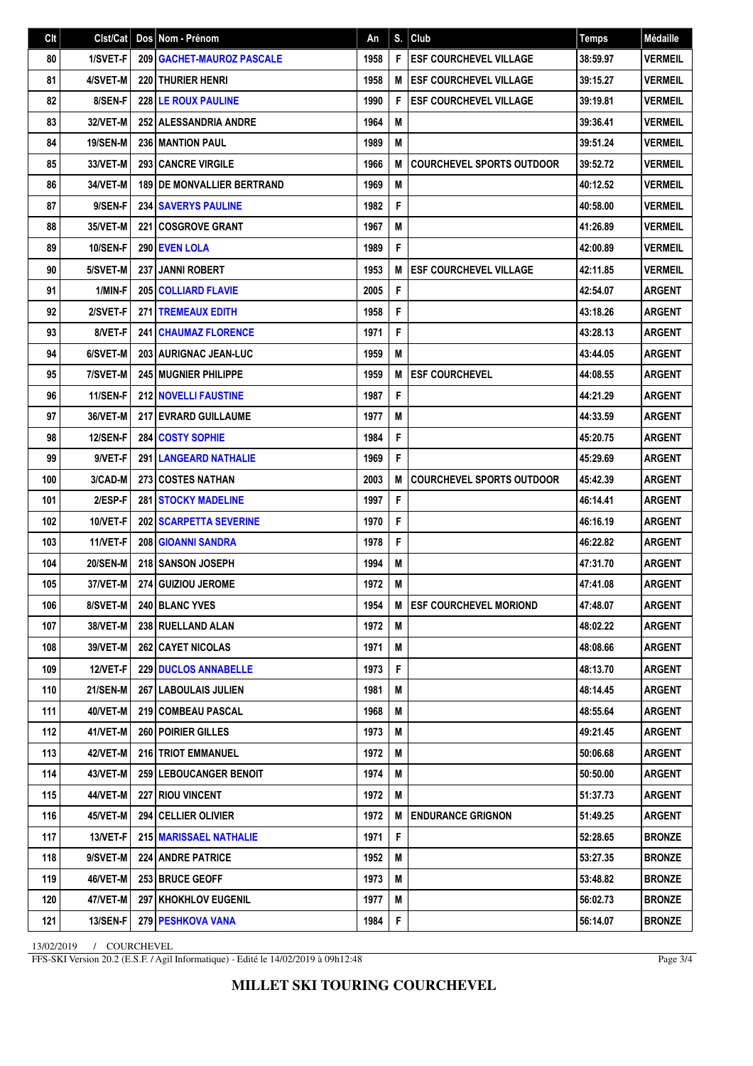| Clt | $Clst/Cat$ Dos  | Nom - Prénom                       | Αn   | S.I | Club                             | <b>Temps</b> | Médaille       |
|-----|-----------------|------------------------------------|------|-----|----------------------------------|--------------|----------------|
| 80  | 1/SVET-F        | <b>209   GACHET-MAUROZ PASCALE</b> | 1958 | F   | <b>ESF COURCHEVEL VILLAGE</b>    | 38:59.97     | <b>VERMEIL</b> |
| 81  | 4/SVET-M        | <b>220 THURIER HENRI</b>           | 1958 | M   | <b>ESF COURCHEVEL VILLAGE</b>    | 39:15.27     | <b>VERMEIL</b> |
| 82  | 8/SEN-F         | <b>228 ILE ROUX PAULINE</b>        | 1990 | F   | <b>ESF COURCHEVEL VILLAGE</b>    | 39:19.81     | <b>VERMEIL</b> |
| 83  | 32/VET-M        | 252 ALESSANDRIA ANDRE              | 1964 | M   |                                  | 39:36.41     | <b>VERMEIL</b> |
| 84  | <b>19/SEN-M</b> | <b>236 MANTION PAUL</b>            | 1989 | M   |                                  | 39:51.24     | <b>VERMEIL</b> |
| 85  | 33/VET-M        | 293 CANCRE VIRGILE                 | 1966 | M   | <b>COURCHEVEL SPORTS OUTDOOR</b> | 39:52.72     | <b>VERMEIL</b> |
| 86  | 34/VET-M        | <b>189 DE MONVALLIER BERTRAND</b>  | 1969 | M   |                                  | 40:12.52     | <b>VERMEIL</b> |
| 87  | 9/SEN-F         | <b>234 SAVERYS PAULINE</b>         | 1982 | F   |                                  | 40:58.00     | <b>VERMEIL</b> |
| 88  | 35/VET-M        | 221 COSGROVE GRANT                 | 1967 | M   |                                  | 41:26.89     | <b>VERMEIL</b> |
| 89  | <b>10/SEN-F</b> | 290 EVEN LOLA                      | 1989 | F   |                                  | 42:00.89     | <b>VERMEIL</b> |
| 90  | 5/SVET-M        | <b>237 JANNI ROBERT</b>            | 1953 | M   | <b>ESF COURCHEVEL VILLAGE</b>    | 42:11.85     | <b>VERMEIL</b> |
| 91  | 1/MIN-F         | 205 COLLIARD FLAVIE                | 2005 | F   |                                  | 42:54.07     | <b>ARGENT</b>  |
| 92  | 2/SVET-F        | <b>271 TREMEAUX EDITH</b>          | 1958 | F   |                                  | 43:18.26     | <b>ARGENT</b>  |
| 93  | 8/VET-F         | <b>241 CHAUMAZ FLORENCE</b>        | 1971 | F   |                                  | 43:28.13     | <b>ARGENT</b>  |
| 94  | 6/SVET-M        | 203 AURIGNAC JEAN-LUC              | 1959 | M   |                                  | 43:44.05     | <b>ARGENT</b>  |
| 95  | 7/SVET-M        | <b>245 MUGNIER PHILIPPE</b>        | 1959 | M   | <b>ESF COURCHEVEL</b>            | 44:08.55     | <b>ARGENT</b>  |
| 96  | 11/SEN-F        | 212 NOVELLI FAUSTINE               | 1987 | F   |                                  | 44:21.29     | <b>ARGENT</b>  |
| 97  | 36/VET-M        | <b>217 EVRARD GUILLAUME</b>        | 1977 | M   |                                  | 44:33.59     | <b>ARGENT</b>  |
| 98  | 12/SEN-F        | <b>284 COSTY SOPHIE</b>            | 1984 | F   |                                  | 45:20.75     | <b>ARGENT</b>  |
| 99  | 9/VET-F         | 291   LANGEARD NATHALIE            | 1969 | F   |                                  | 45:29.69     | <b>ARGENT</b>  |
| 100 | 3/CAD-M         | 273 COSTES NATHAN                  | 2003 | M   | <b>COURCHEVEL SPORTS OUTDOOR</b> | 45:42.39     | <b>ARGENT</b>  |
| 101 | 2/ESP-F         | <b>281 STOCKY MADELINE</b>         | 1997 | F   |                                  | 46:14.41     | <b>ARGENT</b>  |
| 102 | 10/VET-F        | <b>202   SCARPETTA SEVERINE</b>    | 1970 | F   |                                  | 46:16.19     | <b>ARGENT</b>  |
| 103 | 11/VET-F        | 208 GIOANNI SANDRA                 | 1978 | F   |                                  | 46:22.82     | <b>ARGENT</b>  |
| 104 | <b>20/SEN-M</b> | 218 SANSON JOSEPH                  | 1994 | M   |                                  | 47:31.70     | <b>ARGENT</b>  |
| 105 | 37/VET-M        | 274 GUIZIOU JEROME                 | 1972 | M   |                                  | 47:41.08     | <b>ARGENT</b>  |
| 106 | 8/SVET-M        | 240 BLANC YVES                     | 1954 | м   | <b>ESF COURCHEVEL MORIOND</b>    | 47:48.07     | <b>ARGENT</b>  |
| 107 | 38/VET-M        | 238 RUELLAND ALAN                  | 1972 | M   |                                  | 48:02.22     | <b>ARGENT</b>  |
| 108 | 39/VET-M        | <b>262 CAYET NICOLAS</b>           | 1971 | Μ   |                                  | 48:08.66     | <b>ARGENT</b>  |
| 109 | 12/VET-F        | <b>229 DUCLOS ANNABELLE</b>        | 1973 | F   |                                  | 48:13.70     | <b>ARGENT</b>  |
| 110 | <b>21/SEN-M</b> | 267   LABOULAIS JULIEN             | 1981 | Μ   |                                  | 48:14.45     | <b>ARGENT</b>  |
| 111 | 40/VET-M        | 219 COMBEAU PASCAL                 | 1968 | Μ   |                                  | 48:55.64     | <b>ARGENT</b>  |
| 112 | 41/VET-M        | 260 POIRIER GILLES                 | 1973 | M   |                                  | 49:21.45     | <b>ARGENT</b>  |
| 113 | 42/VET-M        | <b>216   TRIOT EMMANUEL</b>        | 1972 | M   |                                  | 50:06.68     | <b>ARGENT</b>  |
| 114 | 43/VET-M        | 259 LEBOUCANGER BENOIT             | 1974 | M   |                                  | 50:50.00     | <b>ARGENT</b>  |
| 115 | 44/VET-M        | <b>227 RIOU VINCENT</b>            | 1972 | Μ   |                                  | 51:37.73     | <b>ARGENT</b>  |
| 116 | 45/VET-M        | 294 CELLIER OLIVIER                | 1972 | M   | <b>ENDURANCE GRIGNON</b>         | 51:49.25     | <b>ARGENT</b>  |
| 117 | 13/VET-F        | <b>215   MARISSAEL NATHALIE</b>    | 1971 | F   |                                  | 52:28.65     | <b>BRONZE</b>  |
| 118 | 9/SVET-M        | 224 ANDRE PATRICE                  | 1952 | M   |                                  | 53:27.35     | <b>BRONZE</b>  |
| 119 | 46/VET-M        | 253 BRUCE GEOFF                    | 1973 | M   |                                  | 53:48.82     | <b>BRONZE</b>  |
| 120 | 47/VET-M        | <b>297   KHOKHLOV EUGENIL</b>      | 1977 | M   |                                  | 56:02.73     | <b>BRONZE</b>  |
| 121 | <b>13/SEN-F</b> | 279 PESHKOVA VANA                  | 1984 | F   |                                  | 56:14.07     | <b>BRONZE</b>  |

13/02/2019 / COURCHEVEL

FFS-SKI Version 20.2 (E.S.F. / Agil Informatique) - Edité le 14/02/2019 à 09h12:48

Page 3/4

**MILLET SKI TOURING COURCHEVEL**